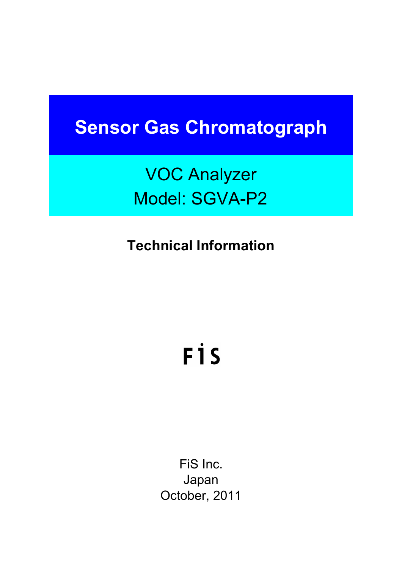# **Sensor Gas Chromatograph**

VOC Analyzer Model: SGVA-P2

**Technical Information**

# FİS

FiS Inc. Japan October, 2011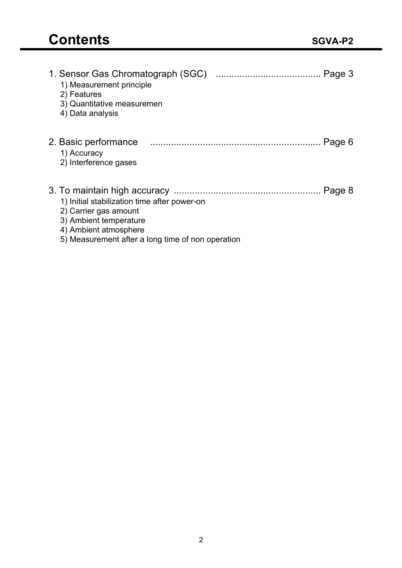| 1) Measurement principle<br>2) Features<br>3) Quantitative measuremen<br>4) Data analysis                                                                                     | Page 3 |
|-------------------------------------------------------------------------------------------------------------------------------------------------------------------------------|--------|
| 2. Basic performance<br>1) Accuracy<br>2) Interference gases                                                                                                                  | Page 6 |
| 1) Initial stabilization time after power-on<br>2) Carrier gas amount<br>3) Ambient temperature<br>4) Ambient atmosphere<br>5) Measurement after a long time of non operation | Page 8 |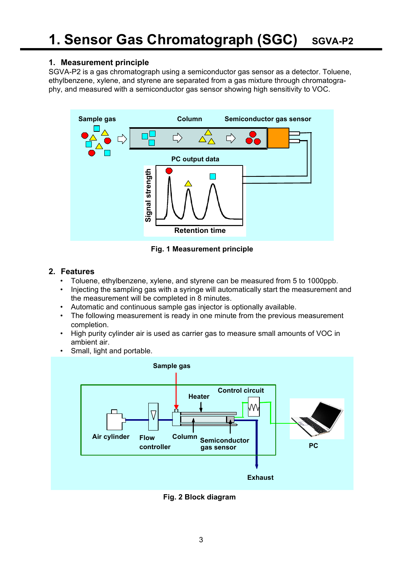# **1. Measurement principle**

SGVA-P2 is a gas chromatograph using a semiconductor gas sensor as a detector. Toluene, ethylbenzene, xylene, and styrene are separated from a gas mixture through chromatography, and measured with a semiconductor gas sensor showing high sensitivity to VOC.



**Fig. 1 Measurement principle**

# **2. Features**

- Toluene, ethylbenzene, xylene, and styrene can be measured from 5 to 1000ppb.
- Injecting the sampling gas with a syringe will automatically start the measurement and the measurement will be completed in 8 minutes.
- Automatic and continuous sample gas injector is optionally available.
- The following measurement is ready in one minute from the previous measurement completion.
- High purity cylinder air is used as carrier gas to measure small amounts of VOC in ambient air.
- Small, light and portable.



**Fig. 2 Block diagram**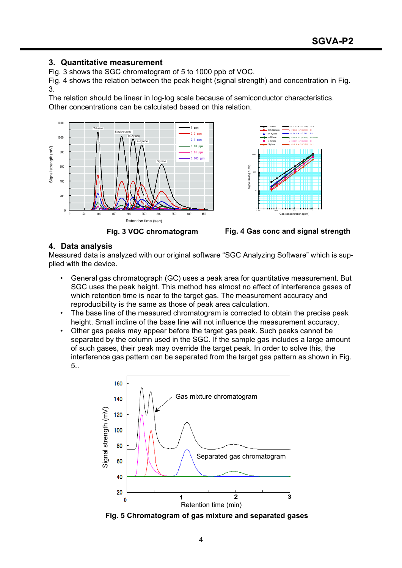# **3. Quantitative measurement**

Fig. 3 shows the SGC chromatogram of 5 to 1000 ppb of VOC.

Fig. 4 shows the relation between the peak height (signal strength) and concentration in Fig. 3.

The relation should be linear in log-log scale because of semiconductor characteristics. Other concentrations can be calculated based on this relation.





**Fig. 3 VOC chromatogram Fig. 4 Gas conc and signal strength**

# **4. Data analysis**

Measured data is analyzed with our original software "SGC Analyzing Software" which is supplied with the device.

- General gas chromatograph (GC) uses a peak area for quantitative measurement. But SGC uses the peak height. This method has almost no effect of interference gases of which retention time is near to the target gas. The measurement accuracy and reproducibility is the same as those of peak area calculation.
- The base line of the measured chromatogram is corrected to obtain the precise peak height. Small incline of the base line will not influence the measurement accuracy.
- Other gas peaks may appear before the target gas peak. Such peaks cannot be separated by the column used in the SGC. If the sample gas includes a large amount of such gases, their peak may override the target peak. In order to solve this, the interference gas pattern can be separated from the target gas pattern as shown in Fig. 5..



**Fig. 5 Chromatogram of gas mixture and separated gases**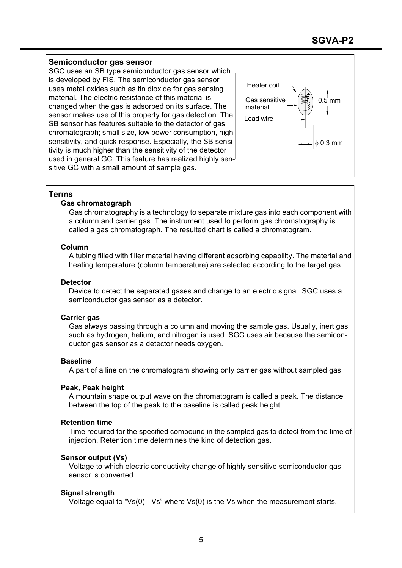# **Semiconductor gas sensor**

SGC uses an SB type semiconductor gas sensor which is developed by FIS. The semiconductor gas sensor uses metal oxides such as tin dioxide for gas sensing material. The electric resistance of this material is changed when the gas is adsorbed on its surface. The sensor makes use of this property for gas detection. The SB sensor has features suitable to the detector of gas chromatograph; small size, low power consumption, high sensitivity, and quick response. Especially, the SB sensitivity is much higher than the sensitivity of the detector used in general GC. This feature has realized highly sensitive GC with a small amount of sample gas.



# **Terms**

# **Gas chromatograph**

Gas chromatography is a technology to separate mixture gas into each component with a column and carrier gas. The instrument used to perform gas chromatography is called a gas chromatograph. The resulted chart is called a chromatogram.

# **Column**

A tubing filled with filler material having different adsorbing capability. The material and heating temperature (column temperature) are selected according to the target gas.

#### **Detector**

Device to detect the separated gases and change to an electric signal. SGC uses a semiconductor gas sensor as a detector.

#### **Carrier gas**

Gas always passing through a column and moving the sample gas. Usually, inert gas such as hydrogen, helium, and nitrogen is used. SGC uses air because the semiconductor gas sensor as a detector needs oxygen.

#### **Baseline**

A part of a line on the chromatogram showing only carrier gas without sampled gas.

#### **Peak, Peak height**

A mountain shape output wave on the chromatogram is called a peak. The distance between the top of the peak to the baseline is called peak height.

#### **Retention time**

Time required for the specified compound in the sampled gas to detect from the time of injection. Retention time determines the kind of detection gas.

# **Sensor output (Vs)**

Voltage to which electric conductivity change of highly sensitive semiconductor gas sensor is converted.

# **Signal strength**

Voltage equal to "Vs(0) - Vs" where Vs(0) is the Vs when the measurement starts.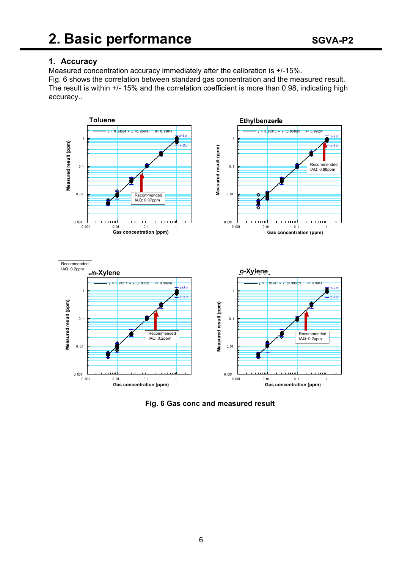

# **1. Accuracy**

Measured concentration accuracy immediately after the calibration is +/-15%. Fig. 6 shows the correlation between standard gas concentration and the measured result. The result is within +/- 15% and the correlation coefficient is more than 0.98, indicating high accuracy..



**Fig. 6 Gas conc and measured result**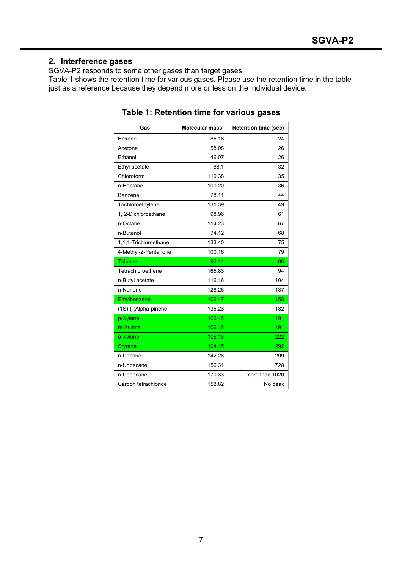# **2. Interference gases**

SGVA-P2 responds to some other gases than target gases.

Table 1 shows the retention time for various gases. Please use the retention time in the table just as a reference because they depend more or less on the individual device.

| Gas                   | <b>Molecular mass</b> | <b>Retention time (sec)</b> |
|-----------------------|-----------------------|-----------------------------|
| Hexane                | 86.18                 | 24                          |
| Acetone               | 58.08                 | 26                          |
| Ethanol               | 46.07                 | 26                          |
| Ethyl acetate         | 88.1                  | 32                          |
| Chloroform            | 119.38                | 35                          |
| n-Heptane             | 100.20                | 36                          |
| Benzene               | 78.11                 | 44                          |
| Trichloroethylene     | 131.39                | 49                          |
| 1, 2-Dichloroethane   | 98.96                 | 61                          |
| n-Octane              | 114.23                | 67                          |
| n-Butanol             | 74.12                 | 68                          |
| 1,1,1-Trichloroethane | 133.40                | 75                          |
| 4-Methyl-2-Pentanone  | 100.16                | 79                          |
| <b>Toluene</b>        | 92.14                 | 86                          |
| Tetrachloroethene     | 165.83                | 94                          |
| n-Butyl acetate       | 116.16                | 104                         |
| n-Nonane              | 128.26                | 137                         |
| Ethylbenzene          | 106.17                | 158                         |
| (1S)-(-)Alpha-pinene  | 136.23                | 182                         |
| p-Xylene              | 106.16                | 191                         |
| m-Xylene              | 106.16                | 191                         |
| o-Xylene              | 106.16                | 222                         |
| <b>Styrene</b>        | 104.15                | 292                         |
| n-Decane              | 142.28                | 299                         |
| n-Undecane            | 156.31                | 728                         |
| n-Dodecane            | 170.33                | more than 1020              |
| Carbon tetrachloride  | 153.82                | No peak                     |

**Table 1: Retention time for various gases**